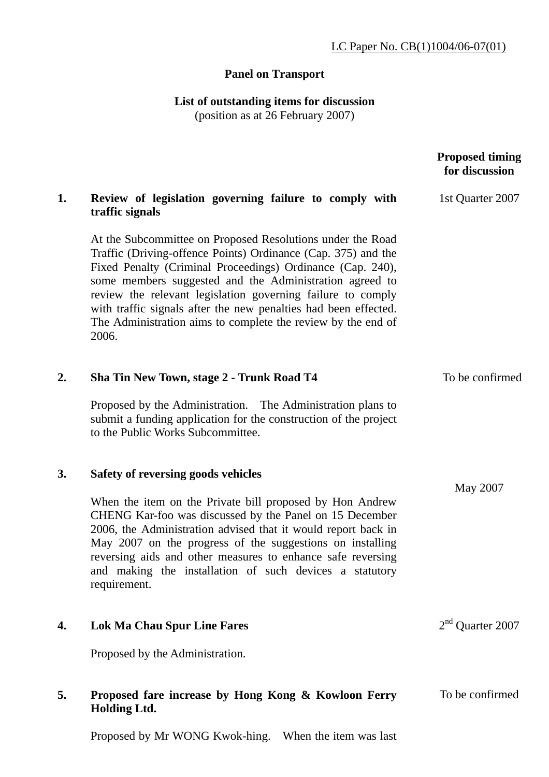# **Panel on Transport**

**List of outstanding items for discussion** 

(position as at 26 February 2007)

|    |                                                                                                                                                                                                                                                                                                                                                                                                                                                                 | <b>Proposed timing</b><br>for discussion |
|----|-----------------------------------------------------------------------------------------------------------------------------------------------------------------------------------------------------------------------------------------------------------------------------------------------------------------------------------------------------------------------------------------------------------------------------------------------------------------|------------------------------------------|
| 1. | Review of legislation governing failure to comply with<br>traffic signals                                                                                                                                                                                                                                                                                                                                                                                       | 1st Quarter 2007                         |
|    | At the Subcommittee on Proposed Resolutions under the Road<br>Traffic (Driving-offence Points) Ordinance (Cap. 375) and the<br>Fixed Penalty (Criminal Proceedings) Ordinance (Cap. 240),<br>some members suggested and the Administration agreed to<br>review the relevant legislation governing failure to comply<br>with traffic signals after the new penalties had been effected.<br>The Administration aims to complete the review by the end of<br>2006. |                                          |
| 2. | Sha Tin New Town, stage 2 - Trunk Road T4                                                                                                                                                                                                                                                                                                                                                                                                                       | To be confirmed                          |
|    | Proposed by the Administration. The Administration plans to<br>submit a funding application for the construction of the project<br>to the Public Works Subcommittee.                                                                                                                                                                                                                                                                                            |                                          |
| 3. | Safety of reversing goods vehicles                                                                                                                                                                                                                                                                                                                                                                                                                              | May 2007                                 |
|    | When the item on the Private bill proposed by Hon Andrew<br>CHENG Kar-foo was discussed by the Panel on 15 December<br>2006, the Administration advised that it would report back in<br>May 2007 on the progress of the suggestions on installing<br>reversing aids and other measures to enhance safe reversing<br>and making the installation of such devices a statutory<br>requirement.                                                                     |                                          |
| 4. | <b>Lok Ma Chau Spur Line Fares</b>                                                                                                                                                                                                                                                                                                                                                                                                                              | $2nd$ Quarter 2007                       |
|    | Proposed by the Administration.                                                                                                                                                                                                                                                                                                                                                                                                                                 |                                          |
| 5. | Proposed fare increase by Hong Kong & Kowloon Ferry<br><b>Holding Ltd.</b>                                                                                                                                                                                                                                                                                                                                                                                      | To be confirmed                          |

Proposed by Mr WONG Kwok-hing. When the item was last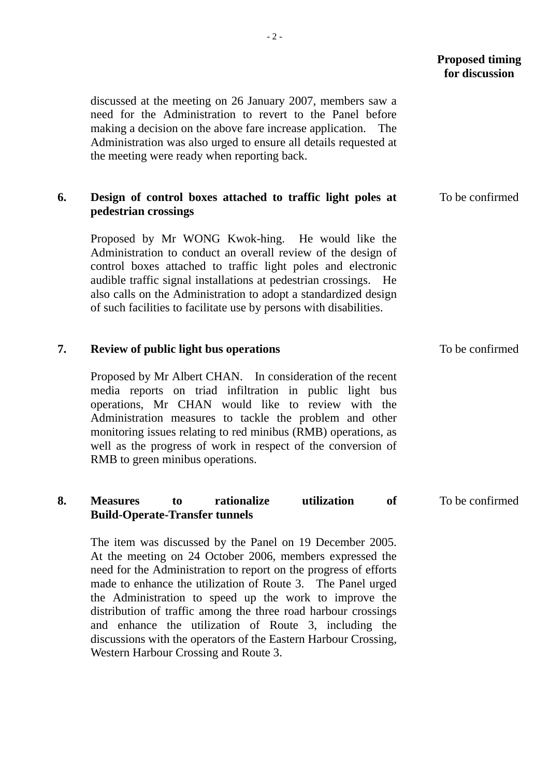## **Proposed timing for discussion**

To be confirmed

discussed at the meeting on 26 January 2007, members saw a need for the Administration to revert to the Panel before making a decision on the above fare increase application. The Administration was also urged to ensure all details requested at the meeting were ready when reporting back.

#### **6. Design of control boxes attached to traffic light poles at pedestrian crossings**  To be confirmed

Proposed by Mr WONG Kwok-hing. He would like the Administration to conduct an overall review of the design of control boxes attached to traffic light poles and electronic audible traffic signal installations at pedestrian crossings. He also calls on the Administration to adopt a standardized design of such facilities to facilitate use by persons with disabilities.

### **7. Review of public light bus operations**

Proposed by Mr Albert CHAN. In consideration of the recent media reports on triad infiltration in public light bus operations, Mr CHAN would like to review with the Administration measures to tackle the problem and other monitoring issues relating to red minibus (RMB) operations, as well as the progress of work in respect of the conversion of RMB to green minibus operations.

#### **8. Measures to rationalize utilization of Build-Operate-Transfer tunnels**  To be confirmed

The item was discussed by the Panel on 19 December 2005. At the meeting on 24 October 2006, members expressed the need for the Administration to report on the progress of efforts made to enhance the utilization of Route 3. The Panel urged the Administration to speed up the work to improve the distribution of traffic among the three road harbour crossings and enhance the utilization of Route 3, including the discussions with the operators of the Eastern Harbour Crossing, Western Harbour Crossing and Route 3.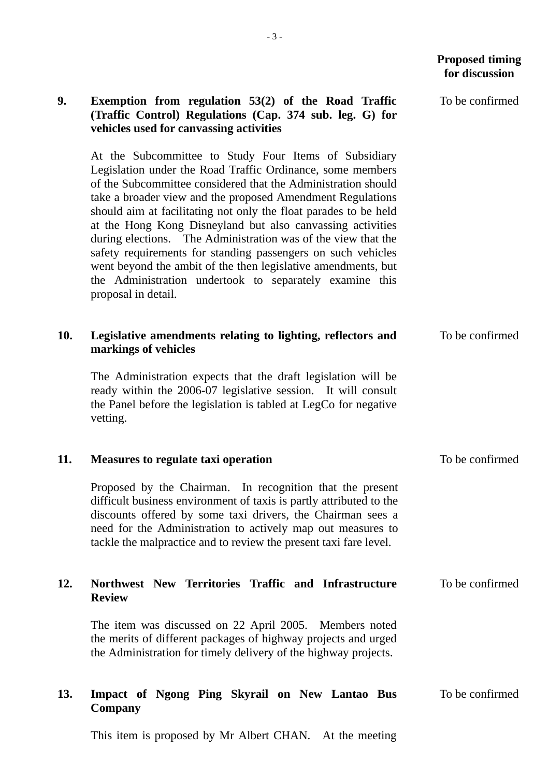### **Proposed timing for discussion**

To be confirmed

## **9. Exemption from regulation 53(2) of the Road Traffic (Traffic Control) Regulations (Cap. 374 sub. leg. G) for vehicles used for canvassing activities**

At the Subcommittee to Study Four Items of Subsidiary Legislation under the Road Traffic Ordinance, some members of the Subcommittee considered that the Administration should take a broader view and the proposed Amendment Regulations should aim at facilitating not only the float parades to be held at the Hong Kong Disneyland but also canvassing activities during elections. The Administration was of the view that the safety requirements for standing passengers on such vehicles went beyond the ambit of the then legislative amendments, but the Administration undertook to separately examine this proposal in detail.

#### **10. Legislative amendments relating to lighting, reflectors and markings of vehicles**  To be confirmed

The Administration expects that the draft legislation will be ready within the 2006-07 legislative session. It will consult the Panel before the legislation is tabled at LegCo for negative vetting.

#### **11. Measures to regulate taxi operation**  To be confirmed

Proposed by the Chairman. In recognition that the present difficult business environment of taxis is partly attributed to the discounts offered by some taxi drivers, the Chairman sees a need for the Administration to actively map out measures to tackle the malpractice and to review the present taxi fare level.

#### **12. Northwest New Territories Traffic and Infrastructure Review**  To be confirmed

The item was discussed on 22 April 2005. Members noted the merits of different packages of highway projects and urged the Administration for timely delivery of the highway projects.

#### **13. Impact of Ngong Ping Skyrail on New Lantao Bus Company**  To be confirmed

This item is proposed by Mr Albert CHAN. At the meeting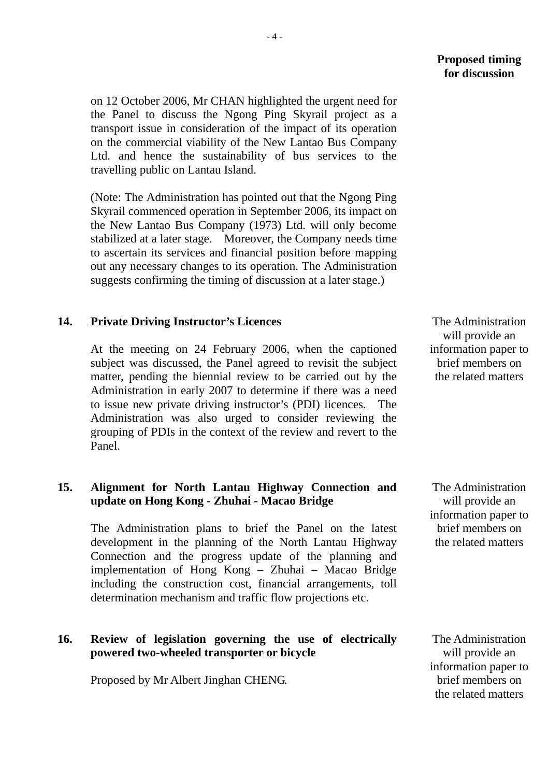### **Proposed timing for discussion**

on 12 October 2006, Mr CHAN highlighted the urgent need for the Panel to discuss the Ngong Ping Skyrail project as a transport issue in consideration of the impact of its operation on the commercial viability of the New Lantao Bus Company Ltd. and hence the sustainability of bus services to the travelling public on Lantau Island.

(Note: The Administration has pointed out that the Ngong Ping Skyrail commenced operation in September 2006, its impact on the New Lantao Bus Company (1973) Ltd. will only become stabilized at a later stage. Moreover, the Company needs time to ascertain its services and financial position before mapping out any necessary changes to its operation. The Administration suggests confirming the timing of discussion at a later stage.)

### **14. Private Driving Instructor's Licences**

At the meeting on 24 February 2006, when the captioned subject was discussed, the Panel agreed to revisit the subject matter, pending the biennial review to be carried out by the Administration in early 2007 to determine if there was a need to issue new private driving instructor's (PDI) licences. The Administration was also urged to consider reviewing the grouping of PDIs in the context of the review and revert to the Panel.

# **15. Alignment for North Lantau Highway Connection and update on Hong Kong - Zhuhai - Macao Bridge**

The Administration plans to brief the Panel on the latest development in the planning of the North Lantau Highway Connection and the progress update of the planning and implementation of Hong Kong – Zhuhai – Macao Bridge including the construction cost, financial arrangements, toll determination mechanism and traffic flow projections etc.

# **16. Review of legislation governing the use of electrically powered two-wheeled transporter or bicycle**

Proposed by Mr Albert Jinghan CHENG.

 The Administration will provide an information paper to brief members on the related matters

 The Administration will provide an information paper to brief members on the related matters

 The Administration will provide an information paper to brief members on the related matters